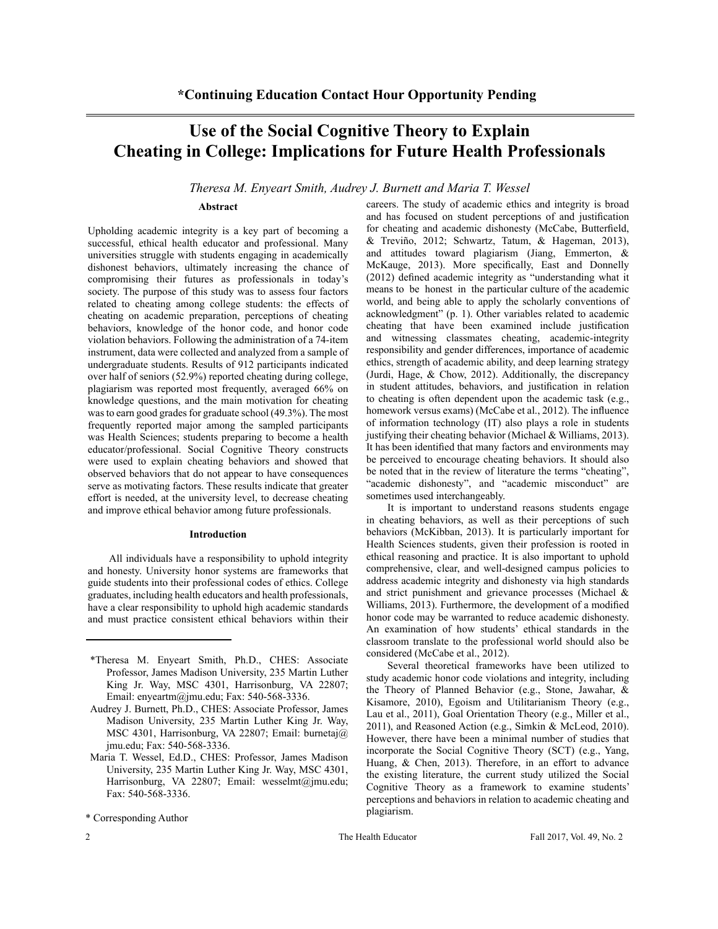# **Use of the Social Cognitive Theory to Explain Cheating in College: Implications for Future Health Professionals**

## *Theresa M. Enyeart Smith, Audrey J. Burnett and Maria T. Wessel*

## **Abstract**

Upholding academic integrity is a key part of becoming a successful, ethical health educator and professional. Many universities struggle with students engaging in academically dishonest behaviors, ultimately increasing the chance of compromising their futures as professionals in today's society. The purpose of this study was to assess four factors related to cheating among college students: the effects of cheating on academic preparation, perceptions of cheating behaviors, knowledge of the honor code, and honor code violation behaviors. Following the administration of a 74-item instrument, data were collected and analyzed from a sample of undergraduate students. Results of 912 participants indicated over half of seniors (52.9%) reported cheating during college, plagiarism was reported most frequently, averaged 66% on knowledge questions, and the main motivation for cheating was to earn good grades for graduate school (49.3%). The most frequently reported major among the sampled participants was Health Sciences; students preparing to become a health educator/professional. Social Cognitive Theory constructs were used to explain cheating behaviors and showed that observed behaviors that do not appear to have consequences serve as motivating factors. These results indicate that greater effort is needed, at the university level, to decrease cheating and improve ethical behavior among future professionals.

#### **Introduction**

All individuals have a responsibility to uphold integrity and honesty. University honor systems are frameworks that guide students into their professional codes of ethics. College graduates, including health educators and health professionals, have a clear responsibility to uphold high academic standards and must practice consistent ethical behaviors within their

- \*Theresa M. Enyeart Smith, Ph.D., CHES: Associate Professor, James Madison University, 235 Martin Luther King Jr. Way, MSC 4301, Harrisonburg, VA 22807; Email: enyeartm@jmu.edu; Fax: 540-568-3336.
- Audrey J. Burnett, Ph.D., CHES: Associate Professor, James Madison University, 235 Martin Luther King Jr. Way, MSC 4301, Harrisonburg, VA 22807; Email: burnetaj@ jmu.edu; Fax: 540-568-3336.
- Maria T. Wessel, Ed.D., CHES: Professor, James Madison University, 235 Martin Luther King Jr. Way, MSC 4301, Harrisonburg, VA 22807; Email: wesselmt@jmu.edu; Fax: 540-568-3336.

\* Corresponding Author

careers. The study of academic ethics and integrity is broad and has focused on student perceptions of and justification for cheating and academic dishonesty (McCabe, Butterfield, & Treviño, 2012; Schwartz, Tatum, & Hageman, 2013), and attitudes toward plagiarism (Jiang, Emmerton, & McKauge, 2013). More specifically, East and Donnelly (2012) defined academic integrity as "understanding what it means to be honest in the particular culture of the academic world, and being able to apply the scholarly conventions of acknowledgment" (p. 1). Other variables related to academic cheating that have been examined include justification and witnessing classmates cheating, academic-integrity responsibility and gender differences, importance of academic ethics, strength of academic ability, and deep learning strategy (Jurdi, Hage, & Chow, 2012). Additionally, the discrepancy in student attitudes, behaviors, and justification in relation to cheating is often dependent upon the academic task (e.g., homework versus exams) (McCabe et al., 2012). The influence of information technology (IT) also plays a role in students justifying their cheating behavior (Michael & Williams, 2013). It has been identified that many factors and environments may be perceived to encourage cheating behaviors. It should also be noted that in the review of literature the terms "cheating", "academic dishonesty", and "academic misconduct" are sometimes used interchangeably.

It is important to understand reasons students engage in cheating behaviors, as well as their perceptions of such behaviors (McKibban, 2013). It is particularly important for Health Sciences students, given their profession is rooted in ethical reasoning and practice. It is also important to uphold comprehensive, clear, and well-designed campus policies to address academic integrity and dishonesty via high standards and strict punishment and grievance processes (Michael & Williams, 2013). Furthermore, the development of a modified honor code may be warranted to reduce academic dishonesty. An examination of how students' ethical standards in the classroom translate to the professional world should also be considered (McCabe et al., 2012).

Several theoretical frameworks have been utilized to study academic honor code violations and integrity, including the Theory of Planned Behavior (e.g., Stone, Jawahar, & Kisamore, 2010), Egoism and Utilitarianism Theory (e.g., Lau et al., 2011), Goal Orientation Theory (e.g., Miller et al., 2011), and Reasoned Action (e.g., Simkin & McLeod, 2010). However, there have been a minimal number of studies that incorporate the Social Cognitive Theory (SCT) (e.g., Yang, Huang, & Chen, 2013). Therefore, in an effort to advance the existing literature, the current study utilized the Social Cognitive Theory as a framework to examine students' perceptions and behaviors in relation to academic cheating and plagiarism.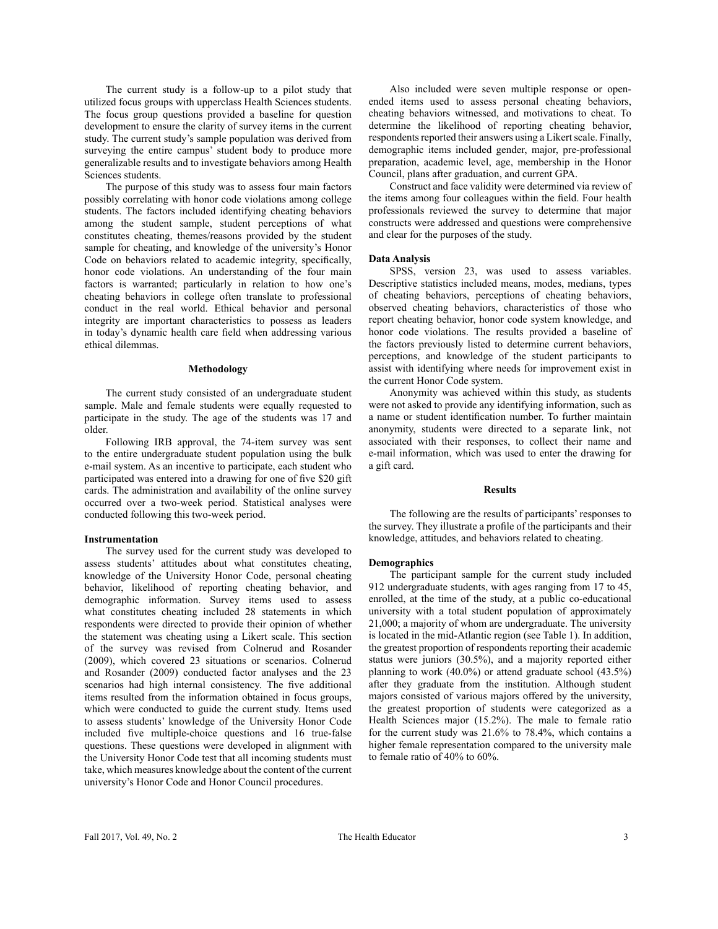The current study is a follow-up to a pilot study that utilized focus groups with upperclass Health Sciences students. The focus group questions provided a baseline for question development to ensure the clarity of survey items in the current study. The current study's sample population was derived from surveying the entire campus' student body to produce more generalizable results and to investigate behaviors among Health Sciences students.

The purpose of this study was to assess four main factors possibly correlating with honor code violations among college students. The factors included identifying cheating behaviors among the student sample, student perceptions of what constitutes cheating, themes/reasons provided by the student sample for cheating, and knowledge of the university's Honor Code on behaviors related to academic integrity, specifically, honor code violations. An understanding of the four main factors is warranted; particularly in relation to how one's cheating behaviors in college often translate to professional conduct in the real world. Ethical behavior and personal integrity are important characteristics to possess as leaders in today's dynamic health care field when addressing various ethical dilemmas.

#### **Methodology**

The current study consisted of an undergraduate student sample. Male and female students were equally requested to participate in the study. The age of the students was 17 and older.

Following IRB approval, the 74-item survey was sent to the entire undergraduate student population using the bulk e-mail system. As an incentive to participate, each student who participated was entered into a drawing for one of five \$20 gift cards. The administration and availability of the online survey occurred over a two-week period. Statistical analyses were conducted following this two-week period.

## **Instrumentation**

The survey used for the current study was developed to assess students' attitudes about what constitutes cheating, knowledge of the University Honor Code, personal cheating behavior, likelihood of reporting cheating behavior, and demographic information. Survey items used to assess what constitutes cheating included 28 statements in which respondents were directed to provide their opinion of whether the statement was cheating using a Likert scale. This section of the survey was revised from Colnerud and Rosander (2009), which covered 23 situations or scenarios. Colnerud and Rosander (2009) conducted factor analyses and the 23 scenarios had high internal consistency. The five additional items resulted from the information obtained in focus groups, which were conducted to guide the current study. Items used to assess students' knowledge of the University Honor Code included five multiple-choice questions and 16 true-false questions. These questions were developed in alignment with the University Honor Code test that all incoming students must take, which measures knowledge about the content of the current university's Honor Code and Honor Council procedures.

Also included were seven multiple response or openended items used to assess personal cheating behaviors, cheating behaviors witnessed, and motivations to cheat. To determine the likelihood of reporting cheating behavior, respondents reported their answers using a Likert scale. Finally, demographic items included gender, major, pre-professional preparation, academic level, age, membership in the Honor Council, plans after graduation, and current GPA.

Construct and face validity were determined via review of the items among four colleagues within the field. Four health professionals reviewed the survey to determine that major constructs were addressed and questions were comprehensive and clear for the purposes of the study.

#### **Data Analysis**

SPSS, version 23, was used to assess variables. Descriptive statistics included means, modes, medians, types of cheating behaviors, perceptions of cheating behaviors, observed cheating behaviors, characteristics of those who report cheating behavior, honor code system knowledge, and honor code violations. The results provided a baseline of the factors previously listed to determine current behaviors, perceptions, and knowledge of the student participants to assist with identifying where needs for improvement exist in the current Honor Code system.

Anonymity was achieved within this study, as students were not asked to provide any identifying information, such as a name or student identification number. To further maintain anonymity, students were directed to a separate link, not associated with their responses, to collect their name and e-mail information, which was used to enter the drawing for a gift card.

## **Results**

The following are the results of participants' responses to the survey. They illustrate a profile of the participants and their knowledge, attitudes, and behaviors related to cheating.

#### **Demographics**

The participant sample for the current study included 912 undergraduate students, with ages ranging from 17 to 45, enrolled, at the time of the study, at a public co-educational university with a total student population of approximately 21,000; a majority of whom are undergraduate. The university is located in the mid-Atlantic region (see Table 1). In addition, the greatest proportion of respondents reporting their academic status were juniors (30.5%), and a majority reported either planning to work (40.0%) or attend graduate school (43.5%) after they graduate from the institution. Although student majors consisted of various majors offered by the university, the greatest proportion of students were categorized as a Health Sciences major (15.2%). The male to female ratio for the current study was 21.6% to 78.4%, which contains a higher female representation compared to the university male to female ratio of 40% to 60%.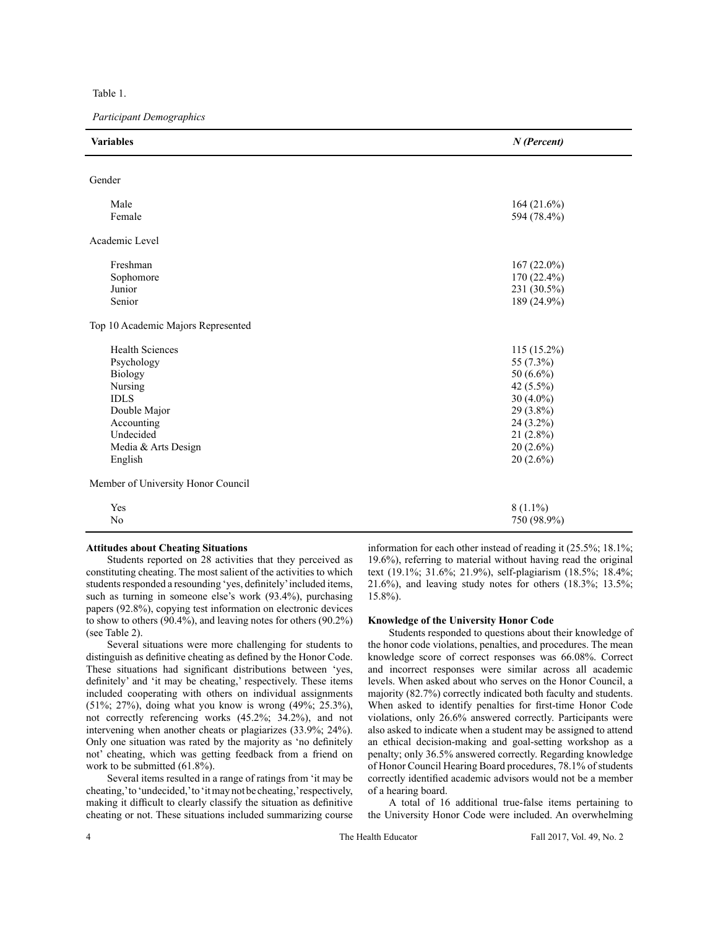Table 1.

*Participant Demographics*

| <b>Variables</b>                   | $N$ (Percent)                |
|------------------------------------|------------------------------|
| Gender                             |                              |
|                                    |                              |
| Male                               | 164 $(21.6\%)$               |
| Female                             | 594 (78.4%)                  |
| Academic Level                     |                              |
|                                    |                              |
| Freshman<br>Sophomore              | $167(22.0\%)$<br>170 (22.4%) |
| Junior                             | 231 (30.5%)                  |
| Senior                             | 189 (24.9%)                  |
| Top 10 Academic Majors Represented |                              |
| <b>Health Sciences</b>             | $115(15.2\%)$                |
| Psychology                         | 55 (7.3%)                    |
| <b>Biology</b>                     | 50 $(6.6\%)$                 |
| Nursing                            | 42 (5.5%)                    |
| <b>IDLS</b>                        | 30 $(4.0\%)$                 |
| Double Major                       | 29 (3.8%)                    |
| Accounting                         | 24 (3.2%)                    |
| Undecided                          | $21(2.8\%)$                  |
| Media & Arts Design                | $20(2.6\%)$                  |
| English                            | $20(2.6\%)$                  |
| Member of University Honor Council |                              |
| Yes                                | $8(1.1\%)$                   |
| No                                 | 750 (98.9%)                  |

## **Attitudes about Cheating Situations**

Students reported on 28 activities that they perceived as constituting cheating. The most salient of the activities to which students responded a resounding 'yes, definitely' included items, such as turning in someone else's work (93.4%), purchasing papers (92.8%), copying test information on electronic devices to show to others (90.4%), and leaving notes for others (90.2%) (see Table 2).

Several situations were more challenging for students to distinguish as definitive cheating as defined by the Honor Code. These situations had significant distributions between 'yes, definitely' and 'it may be cheating,' respectively. These items included cooperating with others on individual assignments (51%; 27%), doing what you know is wrong (49%; 25.3%), not correctly referencing works (45.2%; 34.2%), and not intervening when another cheats or plagiarizes (33.9%; 24%). Only one situation was rated by the majority as 'no definitely not' cheating, which was getting feedback from a friend on work to be submitted (61.8%).

Several items resulted in a range of ratings from 'it may be cheating,' to 'undecided,' to 'it may not be cheating,' respectively, making it difficult to clearly classify the situation as definitive cheating or not. These situations included summarizing course information for each other instead of reading it (25.5%; 18.1%; 19.6%), referring to material without having read the original text (19.1%; 31.6%; 21.9%), self-plagiarism (18.5%; 18.4%; 21.6%), and leaving study notes for others (18.3%; 13.5%; 15.8%).

## **Knowledge of the University Honor Code**

Students responded to questions about their knowledge of the honor code violations, penalties, and procedures. The mean knowledge score of correct responses was 66.08%. Correct and incorrect responses were similar across all academic levels. When asked about who serves on the Honor Council, a majority (82.7%) correctly indicated both faculty and students. When asked to identify penalties for first-time Honor Code violations, only 26.6% answered correctly. Participants were also asked to indicate when a student may be assigned to attend an ethical decision-making and goal-setting workshop as a penalty; only 36.5% answered correctly. Regarding knowledge of Honor Council Hearing Board procedures, 78.1% of students correctly identified academic advisors would not be a member of a hearing board.

A total of 16 additional true-false items pertaining to the University Honor Code were included. An overwhelming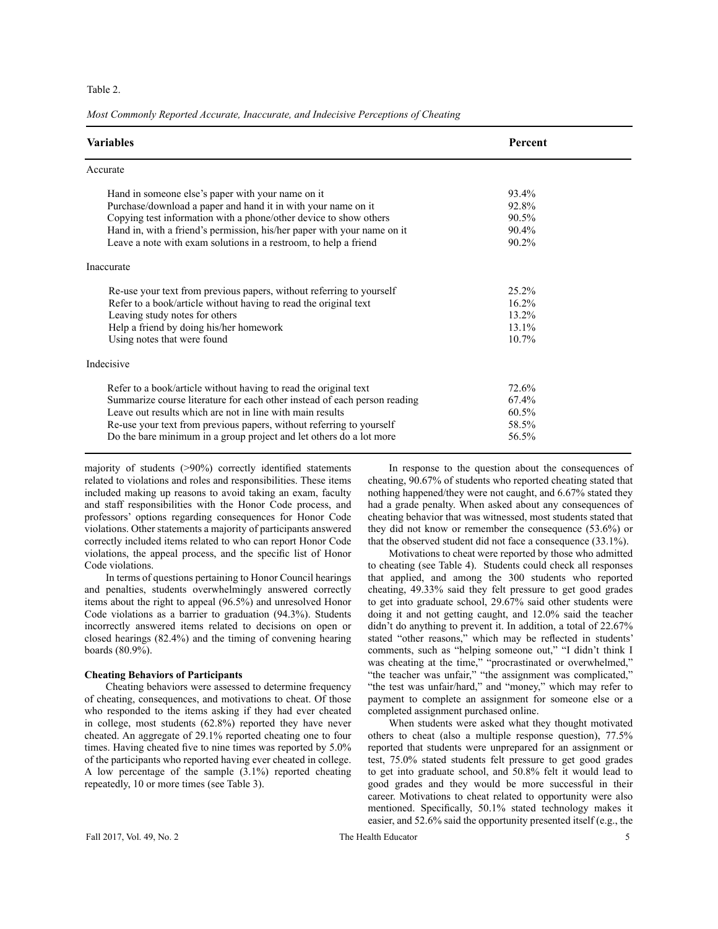## Table 2.

*Most Commonly Reported Accurate, Inaccurate, and Indecisive Perceptions of Cheating*

| <b>Variables</b>                                                                                                                                                                                                                                                                                                                                          | Percent                                   |  |
|-----------------------------------------------------------------------------------------------------------------------------------------------------------------------------------------------------------------------------------------------------------------------------------------------------------------------------------------------------------|-------------------------------------------|--|
| Accurate                                                                                                                                                                                                                                                                                                                                                  |                                           |  |
| Hand in someone else's paper with your name on it<br>Purchase/download a paper and hand it in with your name on it<br>Copying test information with a phone/other device to show others<br>Hand in, with a friend's permission, his/her paper with your name on it<br>Leave a note with exam solutions in a restroom, to help a friend                    | 93.4%<br>92.8%<br>90.5%<br>90.4%<br>90.2% |  |
| Inaccurate                                                                                                                                                                                                                                                                                                                                                |                                           |  |
| Re-use your text from previous papers, without referring to yourself<br>Refer to a book/article without having to read the original text<br>Leaving study notes for others<br>Help a friend by doing his/her homework<br>Using notes that were found                                                                                                      | 25.2%<br>16.2%<br>13.2%<br>13.1%<br>10.7% |  |
| Indecisive                                                                                                                                                                                                                                                                                                                                                |                                           |  |
| Refer to a book/article without having to read the original text<br>Summarize course literature for each other instead of each person reading<br>Leave out results which are not in line with main results<br>Re-use your text from previous papers, without referring to yourself<br>Do the bare minimum in a group project and let others do a lot more | 72.6%<br>67.4%<br>60.5%<br>58.5%<br>56.5% |  |

majority of students (>90%) correctly identified statements related to violations and roles and responsibilities. These items included making up reasons to avoid taking an exam, faculty and staff responsibilities with the Honor Code process, and professors' options regarding consequences for Honor Code violations. Other statements a majority of participants answered correctly included items related to who can report Honor Code violations, the appeal process, and the specific list of Honor Code violations.

In terms of questions pertaining to Honor Council hearings and penalties, students overwhelmingly answered correctly items about the right to appeal (96.5%) and unresolved Honor Code violations as a barrier to graduation (94.3%). Students incorrectly answered items related to decisions on open or closed hearings (82.4%) and the timing of convening hearing boards (80.9%).

## **Cheating Behaviors of Participants**

Cheating behaviors were assessed to determine frequency of cheating, consequences, and motivations to cheat. Of those who responded to the items asking if they had ever cheated in college, most students (62.8%) reported they have never cheated. An aggregate of 29.1% reported cheating one to four times. Having cheated five to nine times was reported by 5.0% of the participants who reported having ever cheated in college. A low percentage of the sample (3.1%) reported cheating repeatedly, 10 or more times (see Table 3).

In response to the question about the consequences of cheating, 90.67% of students who reported cheating stated that nothing happened/they were not caught, and 6.67% stated they had a grade penalty. When asked about any consequences of cheating behavior that was witnessed, most students stated that they did not know or remember the consequence (53.6%) or that the observed student did not face a consequence (33.1%).

Motivations to cheat were reported by those who admitted to cheating (see Table 4). Students could check all responses that applied, and among the 300 students who reported cheating, 49.33% said they felt pressure to get good grades to get into graduate school, 29.67% said other students were doing it and not getting caught, and 12.0% said the teacher didn't do anything to prevent it. In addition, a total of 22.67% stated "other reasons," which may be reflected in students' comments, such as "helping someone out," "I didn't think I was cheating at the time," "procrastinated or overwhelmed," "the teacher was unfair," "the assignment was complicated," "the test was unfair/hard," and "money," which may refer to payment to complete an assignment for someone else or a completed assignment purchased online.

When students were asked what they thought motivated others to cheat (also a multiple response question), 77.5% reported that students were unprepared for an assignment or test, 75.0% stated students felt pressure to get good grades to get into graduate school, and 50.8% felt it would lead to good grades and they would be more successful in their career. Motivations to cheat related to opportunity were also mentioned. Specifically, 50.1% stated technology makes it easier, and 52.6% said the opportunity presented itself (e.g., the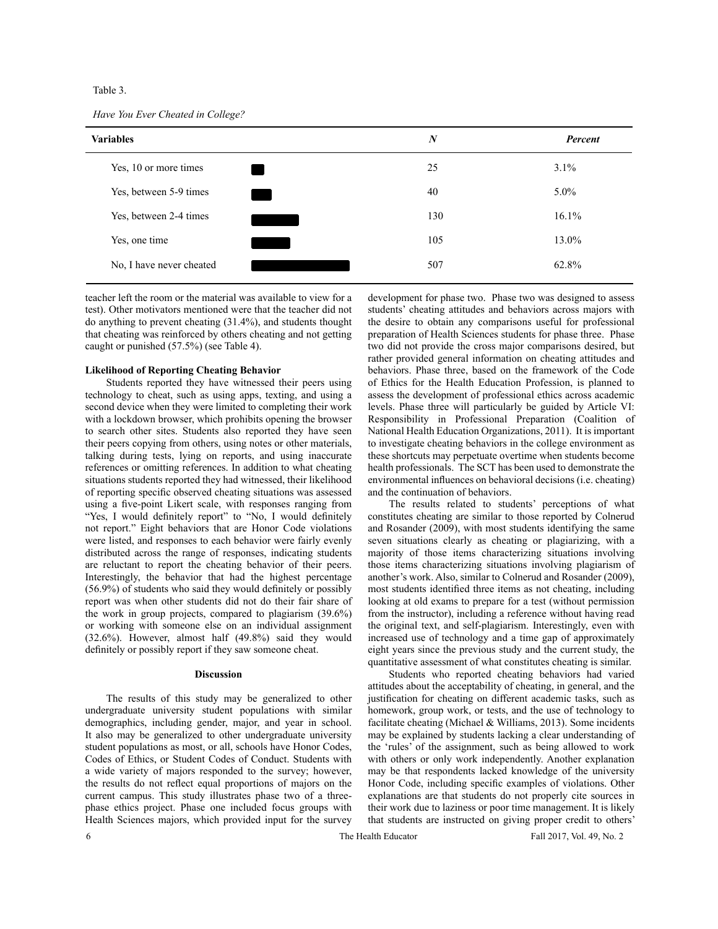Table 3.

| <b>Variables</b>         | $\boldsymbol{N}$ | Percent |
|--------------------------|------------------|---------|
| Yes, 10 or more times    | 25               | 3.1%    |
| Yes, between 5-9 times   | 40               | $5.0\%$ |
| Yes, between 2-4 times   | 130              | 16.1%   |
| Yes, one time            | 105              | 13.0%   |
| No, I have never cheated | 507              | 62.8%   |

teacher left the room or the material was available to view for a test). Other motivators mentioned were that the teacher did not do anything to prevent cheating (31.4%), and students thought that cheating was reinforced by others cheating and not getting caught or punished (57.5%) (see Table 4).

#### **Likelihood of Reporting Cheating Behavior**

Students reported they have witnessed their peers using technology to cheat, such as using apps, texting, and using a second device when they were limited to completing their work with a lockdown browser, which prohibits opening the browser to search other sites. Students also reported they have seen their peers copying from others, using notes or other materials, talking during tests, lying on reports, and using inaccurate references or omitting references. In addition to what cheating situations students reported they had witnessed, their likelihood of reporting specific observed cheating situations was assessed using a five-point Likert scale, with responses ranging from "Yes, I would definitely report" to "No, I would definitely not report." Eight behaviors that are Honor Code violations were listed, and responses to each behavior were fairly evenly distributed across the range of responses, indicating students are reluctant to report the cheating behavior of their peers. Interestingly, the behavior that had the highest percentage (56.9%) of students who said they would definitely or possibly report was when other students did not do their fair share of the work in group projects, compared to plagiarism (39.6%) or working with someone else on an individual assignment (32.6%). However, almost half (49.8%) said they would definitely or possibly report if they saw someone cheat.

#### **Discussion**

The results of this study may be generalized to other undergraduate university student populations with similar demographics, including gender, major, and year in school. It also may be generalized to other undergraduate university student populations as most, or all, schools have Honor Codes, Codes of Ethics, or Student Codes of Conduct. Students with a wide variety of majors responded to the survey; however, the results do not reflect equal proportions of majors on the current campus. This study illustrates phase two of a threephase ethics project. Phase one included focus groups with Health Sciences majors, which provided input for the survey

development for phase two. Phase two was designed to assess students' cheating attitudes and behaviors across majors with the desire to obtain any comparisons useful for professional preparation of Health Sciences students for phase three. Phase two did not provide the cross major comparisons desired, but rather provided general information on cheating attitudes and behaviors. Phase three, based on the framework of the Code of Ethics for the Health Education Profession, is planned to assess the development of professional ethics across academic levels. Phase three will particularly be guided by Article VI: Responsibility in Professional Preparation (Coalition of National Health Education Organizations, 2011). It is important to investigate cheating behaviors in the college environment as these shortcuts may perpetuate overtime when students become health professionals. The SCT has been used to demonstrate the environmental influences on behavioral decisions (i.e. cheating) and the continuation of behaviors.

The results related to students' perceptions of what constitutes cheating are similar to those reported by Colnerud and Rosander (2009), with most students identifying the same seven situations clearly as cheating or plagiarizing, with a majority of those items characterizing situations involving those items characterizing situations involving plagiarism of another's work. Also, similar to Colnerud and Rosander (2009), most students identified three items as not cheating, including looking at old exams to prepare for a test (without permission from the instructor), including a reference without having read the original text, and self-plagiarism. Interestingly, even with increased use of technology and a time gap of approximately eight years since the previous study and the current study, the quantitative assessment of what constitutes cheating is similar.

Students who reported cheating behaviors had varied attitudes about the acceptability of cheating, in general, and the justification for cheating on different academic tasks, such as homework, group work, or tests, and the use of technology to facilitate cheating (Michael & Williams, 2013). Some incidents may be explained by students lacking a clear understanding of the 'rules' of the assignment, such as being allowed to work with others or only work independently. Another explanation may be that respondents lacked knowledge of the university Honor Code, including specific examples of violations. Other explanations are that students do not properly cite sources in their work due to laziness or poor time management. It is likely that students are instructed on giving proper credit to others'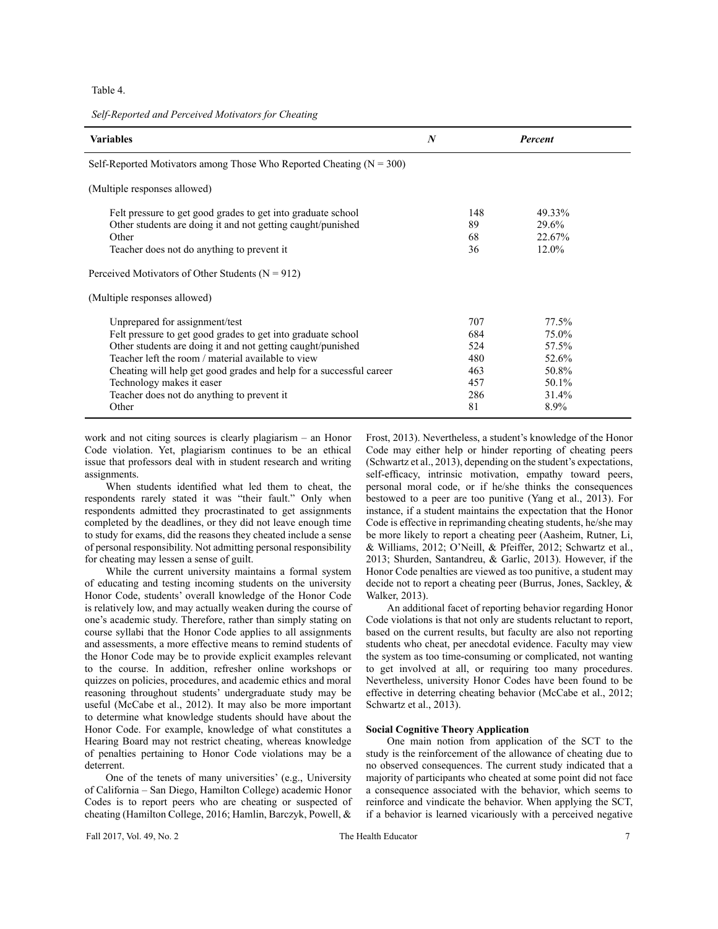Table 4.

*Self-Reported and Perceived Motivators for Cheating*

| <b>Variables</b>                                                                                                                                                                                                                                                                                                                                                                | N                                                   | <b>Percent</b>                                                      |
|---------------------------------------------------------------------------------------------------------------------------------------------------------------------------------------------------------------------------------------------------------------------------------------------------------------------------------------------------------------------------------|-----------------------------------------------------|---------------------------------------------------------------------|
| Self-Reported Motivators among Those Who Reported Cheating $(N = 300)$                                                                                                                                                                                                                                                                                                          |                                                     |                                                                     |
| (Multiple responses allowed)                                                                                                                                                                                                                                                                                                                                                    |                                                     |                                                                     |
| Felt pressure to get good grades to get into graduate school<br>Other students are doing it and not getting caught/punished<br>Other<br>Teacher does not do anything to prevent it.                                                                                                                                                                                             | 148<br>89<br>68<br>36                               | 49.33%<br>29.6%<br>22.67%<br>12.0%                                  |
| Perceived Motivators of Other Students ( $N = 912$ )                                                                                                                                                                                                                                                                                                                            |                                                     |                                                                     |
| (Multiple responses allowed)                                                                                                                                                                                                                                                                                                                                                    |                                                     |                                                                     |
| Unprepared for assignment/test<br>Felt pressure to get good grades to get into graduate school<br>Other students are doing it and not getting caught/punished<br>Teacher left the room / material available to view<br>Cheating will help get good grades and help for a successful career<br>Technology makes it easer<br>Teacher does not do anything to prevent it.<br>Other | 707<br>684<br>524<br>480<br>463<br>457<br>286<br>81 | 77.5%<br>75.0%<br>57.5%<br>52.6%<br>50.8%<br>50.1%<br>31.4%<br>8.9% |

work and not citing sources is clearly plagiarism – an Honor Code violation. Yet, plagiarism continues to be an ethical issue that professors deal with in student research and writing assignments.

When students identified what led them to cheat, the respondents rarely stated it was "their fault." Only when respondents admitted they procrastinated to get assignments completed by the deadlines, or they did not leave enough time to study for exams, did the reasons they cheated include a sense of personal responsibility. Not admitting personal responsibility for cheating may lessen a sense of guilt.

While the current university maintains a formal system of educating and testing incoming students on the university Honor Code, students' overall knowledge of the Honor Code is relatively low, and may actually weaken during the course of one's academic study. Therefore, rather than simply stating on course syllabi that the Honor Code applies to all assignments and assessments, a more effective means to remind students of the Honor Code may be to provide explicit examples relevant to the course. In addition, refresher online workshops or quizzes on policies, procedures, and academic ethics and moral reasoning throughout students' undergraduate study may be useful (McCabe et al., 2012). It may also be more important to determine what knowledge students should have about the Honor Code. For example, knowledge of what constitutes a Hearing Board may not restrict cheating, whereas knowledge of penalties pertaining to Honor Code violations may be a deterrent.

One of the tenets of many universities' (e.g., University of California – San Diego, Hamilton College) academic Honor Codes is to report peers who are cheating or suspected of cheating (Hamilton College, 2016; Hamlin, Barczyk, Powell, & Frost, 2013). Nevertheless, a student's knowledge of the Honor Code may either help or hinder reporting of cheating peers (Schwartz et al., 2013), depending on the student's expectations, self-efficacy, intrinsic motivation, empathy toward peers, personal moral code, or if he/she thinks the consequences bestowed to a peer are too punitive (Yang et al., 2013). For instance, if a student maintains the expectation that the Honor Code is effective in reprimanding cheating students, he/she may be more likely to report a cheating peer (Aasheim, Rutner, Li, & Williams, 2012; O'Neill, & Pfeiffer, 2012; Schwartz et al., 2013; Shurden, Santandreu, & Garlic, 2013). However, if the Honor Code penalties are viewed as too punitive, a student may decide not to report a cheating peer (Burrus, Jones, Sackley, & Walker, 2013).

An additional facet of reporting behavior regarding Honor Code violations is that not only are students reluctant to report, based on the current results, but faculty are also not reporting students who cheat, per anecdotal evidence. Faculty may view the system as too time-consuming or complicated, not wanting to get involved at all, or requiring too many procedures. Nevertheless, university Honor Codes have been found to be effective in deterring cheating behavior (McCabe et al., 2012; Schwartz et al., 2013).

## **Social Cognitive Theory Application**

One main notion from application of the SCT to the study is the reinforcement of the allowance of cheating due to no observed consequences. The current study indicated that a majority of participants who cheated at some point did not face a consequence associated with the behavior, which seems to reinforce and vindicate the behavior. When applying the SCT, if a behavior is learned vicariously with a perceived negative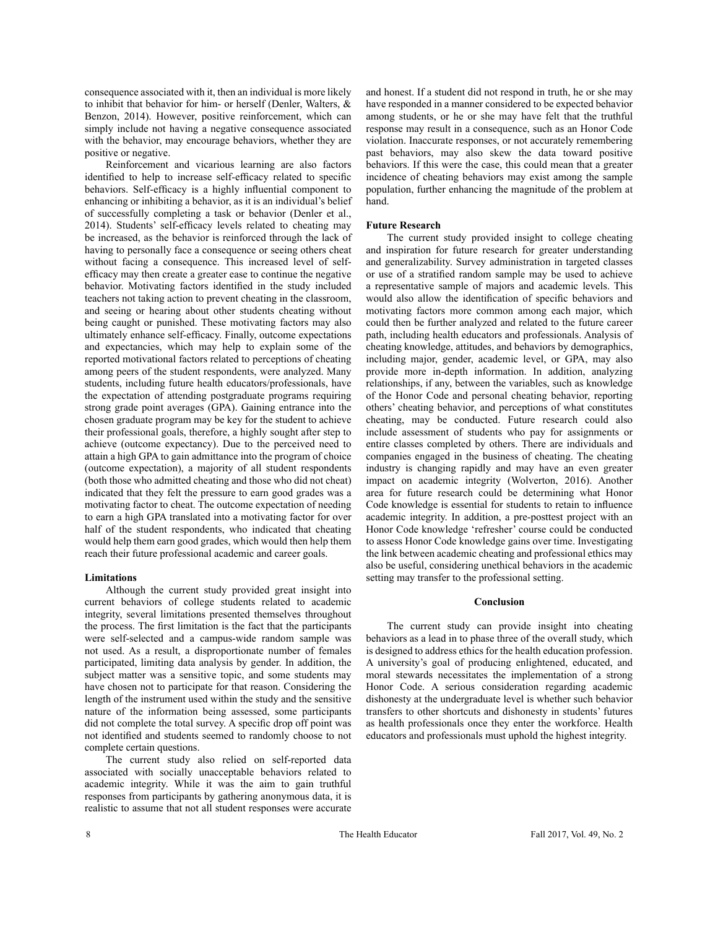consequence associated with it, then an individual is more likely to inhibit that behavior for him- or herself (Denler, Walters, & Benzon, 2014). However, positive reinforcement, which can simply include not having a negative consequence associated with the behavior, may encourage behaviors, whether they are positive or negative.

Reinforcement and vicarious learning are also factors identified to help to increase self-efficacy related to specific behaviors. Self-efficacy is a highly influential component to enhancing or inhibiting a behavior, as it is an individual's belief of successfully completing a task or behavior (Denler et al., 2014). Students' self-efficacy levels related to cheating may be increased, as the behavior is reinforced through the lack of having to personally face a consequence or seeing others cheat without facing a consequence. This increased level of selfefficacy may then create a greater ease to continue the negative behavior. Motivating factors identified in the study included teachers not taking action to prevent cheating in the classroom, and seeing or hearing about other students cheating without being caught or punished. These motivating factors may also ultimately enhance self-efficacy. Finally, outcome expectations and expectancies, which may help to explain some of the reported motivational factors related to perceptions of cheating among peers of the student respondents, were analyzed. Many students, including future health educators/professionals, have the expectation of attending postgraduate programs requiring strong grade point averages (GPA). Gaining entrance into the chosen graduate program may be key for the student to achieve their professional goals, therefore, a highly sought after step to achieve (outcome expectancy). Due to the perceived need to attain a high GPA to gain admittance into the program of choice (outcome expectation), a majority of all student respondents (both those who admitted cheating and those who did not cheat) indicated that they felt the pressure to earn good grades was a motivating factor to cheat. The outcome expectation of needing to earn a high GPA translated into a motivating factor for over half of the student respondents, who indicated that cheating would help them earn good grades, which would then help them reach their future professional academic and career goals.

## **Limitations**

Although the current study provided great insight into current behaviors of college students related to academic integrity, several limitations presented themselves throughout the process. The first limitation is the fact that the participants were self-selected and a campus-wide random sample was not used. As a result, a disproportionate number of females participated, limiting data analysis by gender. In addition, the subject matter was a sensitive topic, and some students may have chosen not to participate for that reason. Considering the length of the instrument used within the study and the sensitive nature of the information being assessed, some participants did not complete the total survey. A specific drop off point was not identified and students seemed to randomly choose to not complete certain questions.

The current study also relied on self-reported data associated with socially unacceptable behaviors related to academic integrity. While it was the aim to gain truthful responses from participants by gathering anonymous data, it is realistic to assume that not all student responses were accurate

and honest. If a student did not respond in truth, he or she may have responded in a manner considered to be expected behavior among students, or he or she may have felt that the truthful response may result in a consequence, such as an Honor Code violation. Inaccurate responses, or not accurately remembering past behaviors, may also skew the data toward positive behaviors. If this were the case, this could mean that a greater incidence of cheating behaviors may exist among the sample population, further enhancing the magnitude of the problem at hand.

## **Future Research**

The current study provided insight to college cheating and inspiration for future research for greater understanding and generalizability. Survey administration in targeted classes or use of a stratified random sample may be used to achieve a representative sample of majors and academic levels. This would also allow the identification of specific behaviors and motivating factors more common among each major, which could then be further analyzed and related to the future career path, including health educators and professionals. Analysis of cheating knowledge, attitudes, and behaviors by demographics, including major, gender, academic level, or GPA, may also provide more in-depth information. In addition, analyzing relationships, if any, between the variables, such as knowledge of the Honor Code and personal cheating behavior, reporting others' cheating behavior, and perceptions of what constitutes cheating, may be conducted. Future research could also include assessment of students who pay for assignments or entire classes completed by others. There are individuals and companies engaged in the business of cheating. The cheating industry is changing rapidly and may have an even greater impact on academic integrity (Wolverton, 2016). Another area for future research could be determining what Honor Code knowledge is essential for students to retain to influence academic integrity. In addition, a pre-posttest project with an Honor Code knowledge 'refresher' course could be conducted to assess Honor Code knowledge gains over time. Investigating the link between academic cheating and professional ethics may also be useful, considering unethical behaviors in the academic setting may transfer to the professional setting.

## **Conclusion**

The current study can provide insight into cheating behaviors as a lead in to phase three of the overall study, which is designed to address ethics for the health education profession. A university's goal of producing enlightened, educated, and moral stewards necessitates the implementation of a strong Honor Code. A serious consideration regarding academic dishonesty at the undergraduate level is whether such behavior transfers to other shortcuts and dishonesty in students' futures as health professionals once they enter the workforce. Health educators and professionals must uphold the highest integrity.